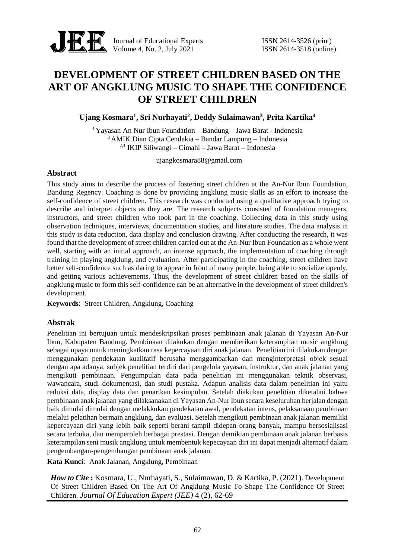

Journal of Educational Experts ISSN 2614-3526 (print) Volume 4, No. 2, July 2021 ISSN 2614-3518 (online)

# **DEVELOPMENT OF STREET CHILDREN BASED ON THE ART OF ANGKLUNG MUSIC TO SHAPE THE CONFIDENCE OF STREET CHILDREN**

# **Ujang Kosmara<sup>1</sup> , Sri Nurhayati<sup>2</sup> , Deddy Sulaimawan<sup>3</sup> , Prita Kartika<sup>4</sup>**

<sup>1</sup> Yayasan An Nur Ibun Foundation – Bandung – Jawa Barat - Indonesia <sup>3</sup> AMIK Dian Cipta Cendekia – Bandar Lampung – Indonesia 2,4 IKIP Siliwangi – Cimahi – Jawa Barat – Indonesia

<sup>1</sup> ujangkosmara88@gmail.com

# **Abstract**

This study aims to describe the process of fostering street children at the An-Nur Ibun Foundation, Bandung Regency. Coaching is done by providing angklung music skills as an effort to increase the self-confidence of street children. This research was conducted using a qualitative approach trying to describe and interpret objects as they are. The research subjects consisted of foundation managers, instructors, and street children who took part in the coaching. Collecting data in this study using observation techniques, interviews, documentation studies, and literature studies. The data analysis in this study is data reduction, data display and conclusion drawing. After conducting the research, it was found that the development of street children carried out at the An-Nur Ibun Foundation as a whole went well, starting with an initial approach, an intense approach, the implementation of coaching through training in playing angklung, and evaluation. After participating in the coaching, street children have better self-confidence such as daring to appear in front of many people, being able to socialize openly, and getting various achievements. Thus, the development of street children based on the skills of angklung music to form this self-confidence can be an alternative in the development of street children's development.

**Keywords**: Street Children, Angklung, Coaching

## **Abstrak**

Penelitian ini bertujuan untuk mendeskripsikan proses pembinaan anak jalanan di Yayasan An-Nur Ibun, Kabupaten Bandung. Pembinaan dilakukan dengan memberikan keterampilan music angklung sebagai upaya untuk meningkatkan rasa kepercayaan diri anak jalanan. Penelitian ini dilakukan dengan menggunakan pendekatan kualitatif berusaha menggambarkan dan menginterpretasi objek sesuai dengan apa adanya. subjek penelitian terdiri dari pengelola yayasan, instruktur, dan anak jalanan yang mengikuti pembinaan. Pengumpulan data pada penelitian ini menggunakan teknik observasi, wawancara, studi dokumentasi, dan studi pustaka. Adapun analisis data dalam penelitian ini yaitu reduksi data, display data dan penarikan kesimpulan. Setelah diakukan penelitian diketahui bahwa pembinaan anak jalanan yang dilaksanakan di Yayasan An-Nur Ibun secara keseluruhan berjalan dengan baik dimulai dimulai dengan melakkukan pendekatan awal, pendekatan intens, pelaksanaan pembinaan melalui pelatihan bermain angklung, dan evaluasi. Setelah mengikuti pembinaan anak jalanan memiliki kepercayaan diri yang lebih baik seperti berani tampil didepan orang banyak, mampu bersosialisasi secara terbuka, dan memperoleh berbagai prestasi. Dengan demikian pembinaan anak jalanan berbasis keterampilan seni musik angklung untuk membentuk kepecayaan diri ini dapat menjadi alternatif dalam pengembangan-pengembangan pembinaan anak jalanan.

**Kata Kunci**: Anak Jalanan, Angklung, Pembinaan

*How to Cite* **:** Kosmara, U., Nurhayati, S., Sulaimawan, D. & Kartika, P. (2021). Development Of Street Children Based On The Art Of Angklung Music To Shape The Confidence Of Street Children. *Journal Of Education Expert (JEE)* 4 (2), 62-69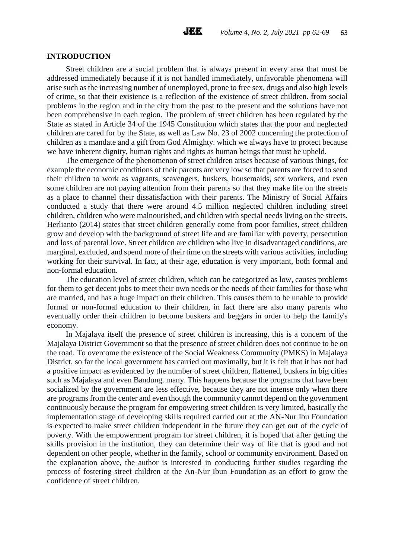## **INTRODUCTION**

Street children are a social problem that is always present in every area that must be addressed immediately because if it is not handled immediately, unfavorable phenomena will arise such as the increasing number of unemployed, prone to free sex, drugs and also high levels of crime, so that their existence is a reflection of the existence of street children. from social problems in the region and in the city from the past to the present and the solutions have not been comprehensive in each region. The problem of street children has been regulated by the State as stated in Article 34 of the 1945 Constitution which states that the poor and neglected children are cared for by the State, as well as Law No. 23 of 2002 concerning the protection of children as a mandate and a gift from God Almighty. which we always have to protect because we have inherent dignity, human rights and rights as human beings that must be upheld.

The emergence of the phenomenon of street children arises because of various things, for example the economic conditions of their parents are very low so that parents are forced to send their children to work as vagrants, scavengers, buskers, housemaids, sex workers, and even some children are not paying attention from their parents so that they make life on the streets as a place to channel their dissatisfaction with their parents. The Ministry of Social Affairs conducted a study that there were around 4.5 million neglected children including street children, children who were malnourished, and children with special needs living on the streets. Herlianto (2014) states that street children generally come from poor families, street children grow and develop with the background of street life and are familiar with poverty, persecution and loss of parental love. Street children are children who live in disadvantaged conditions, are marginal, excluded, and spend more of their time on the streets with various activities, including working for their survival. In fact, at their age, education is very important, both formal and non-formal education.

The education level of street children, which can be categorized as low, causes problems for them to get decent jobs to meet their own needs or the needs of their families for those who are married, and has a huge impact on their children. This causes them to be unable to provide formal or non-formal education to their children, in fact there are also many parents who eventually order their children to become buskers and beggars in order to help the family's economy.

In Majalaya itself the presence of street children is increasing, this is a concern of the Majalaya District Government so that the presence of street children does not continue to be on the road. To overcome the existence of the Social Weakness Community (PMKS) in Majalaya District, so far the local government has carried out maximally, but it is felt that it has not had a positive impact as evidenced by the number of street children, flattened, buskers in big cities such as Majalaya and even Bandung. many. This happens because the programs that have been socialized by the government are less effective, because they are not intense only when there are programs from the center and even though the community cannot depend on the government continuously because the program for empowering street children is very limited, basically the implementation stage of developing skills required carried out at the AN-Nur Ibu Foundation is expected to make street children independent in the future they can get out of the cycle of poverty. With the empowerment program for street children, it is hoped that after getting the skills provision in the institution, they can determine their way of life that is good and not dependent on other people, whether in the family, school or community environment. Based on the explanation above, the author is interested in conducting further studies regarding the process of fostering street children at the An-Nur Ibun Foundation as an effort to grow the confidence of street children.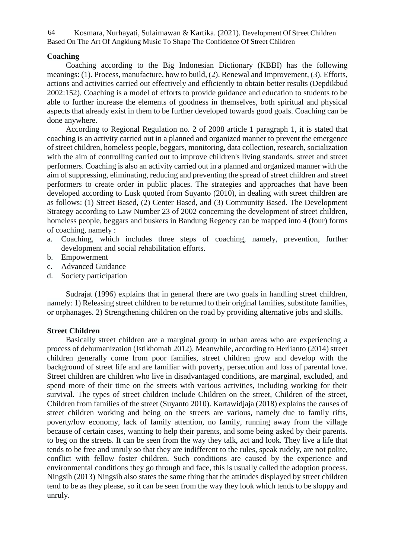Kosmara, Nurhayati, Sulaimawan & Kartika. (2021). Development Of Street Children Based On The Art Of Angklung Music To Shape The Confidence Of Street Children 64

# **Coaching**

Coaching according to the Big Indonesian Dictionary (KBBI) has the following meanings: (1). Process, manufacture, how to build, (2). Renewal and Improvement, (3). Efforts, actions and activities carried out effectively and efficiently to obtain better results (Depdikbud 2002:152). Coaching is a model of efforts to provide guidance and education to students to be able to further increase the elements of goodness in themselves, both spiritual and physical aspects that already exist in them to be further developed towards good goals. Coaching can be done anywhere.

According to Regional Regulation no. 2 of 2008 article 1 paragraph 1, it is stated that coaching is an activity carried out in a planned and organized manner to prevent the emergence of street children, homeless people, beggars, monitoring, data collection, research, socialization with the aim of controlling carried out to improve children's living standards. street and street performers. Coaching is also an activity carried out in a planned and organized manner with the aim of suppressing, eliminating, reducing and preventing the spread of street children and street performers to create order in public places. The strategies and approaches that have been developed according to Lusk quoted from Suyanto (2010), in dealing with street children are as follows: (1) Street Based, (2) Center Based, and (3) Community Based. The Development Strategy according to Law Number 23 of 2002 concerning the development of street children, homeless people, beggars and buskers in Bandung Regency can be mapped into 4 (four) forms of coaching, namely :

- a. Coaching, which includes three steps of coaching, namely, prevention, further development and social rehabilitation efforts.
- b. Empowerment
- c. Advanced Guidance
- d. Society participation

Sudrajat (1996) explains that in general there are two goals in handling street children, namely: 1) Releasing street children to be returned to their original families, substitute families, or orphanages. 2) Strengthening children on the road by providing alternative jobs and skills.

## **Street Children**

Basically street children are a marginal group in urban areas who are experiencing a process of dehumanization (Istikhomah 2012). Meanwhile, according to Herlianto (2014) street children generally come from poor families, street children grow and develop with the background of street life and are familiar with poverty, persecution and loss of parental love. Street children are children who live in disadvantaged conditions, are marginal, excluded, and spend more of their time on the streets with various activities, including working for their survival. The types of street children include Children on the street, Children of the street, Children from families of the street (Suyanto 2010). Kartawidjaja (2018) explains the causes of street children working and being on the streets are various, namely due to family rifts, poverty/low economy, lack of family attention, no family, running away from the village because of certain cases, wanting to help their parents, and some being asked by their parents. to beg on the streets. It can be seen from the way they talk, act and look. They live a life that tends to be free and unruly so that they are indifferent to the rules, speak rudely, are not polite, conflict with fellow foster children. Such conditions are caused by the experience and environmental conditions they go through and face, this is usually called the adoption process. Ningsih (2013) Ningsih also states the same thing that the attitudes displayed by street children tend to be as they please, so it can be seen from the way they look which tends to be sloppy and unruly.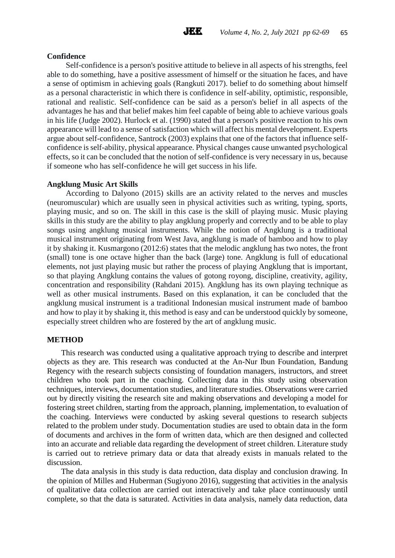

## **Confidence**

Self-confidence is a person's positive attitude to believe in all aspects of his strengths, feel able to do something, have a positive assessment of himself or the situation he faces, and have a sense of optimism in achieving goals (Rangkuti 2017). belief to do something about himself as a personal characteristic in which there is confidence in self-ability, optimistic, responsible, rational and realistic. Self-confidence can be said as a person's belief in all aspects of the advantages he has and that belief makes him feel capable of being able to achieve various goals in his life (Judge 2002). Hurlock et al. (1990) stated that a person's positive reaction to his own appearance will lead to a sense of satisfaction which will affect his mental development. Experts argue about self-confidence, Santrock (2003) explains that one of the factors that influence self confidence is self-ability, physical appearance. Physical changes cause unwanted psychological effects, so it can be concluded that the notion of self-confidence is very necessary in us, because if someone who has self-confidence he will get success in his life.

## **Angklung Music Art Skills**

According to Dalyono (2015) skills are an activity related to the nerves and muscles (neuromuscular) which are usually seen in physical activities such as writing, typing, sports, playing music, and so on. The skill in this case is the skill of playing music. Music playing skills in this study are the ability to play angklung properly and correctly and to be able to play songs using angklung musical instruments. While the notion of Angklung is a traditional musical instrument originating from West Java, angklung is made of bamboo and how to play it by shaking it. Kusmargono (2012:6) states that the melodic angklung has two notes, the front (small) tone is one octave higher than the back (large) tone. Angklung is full of educational elements, not just playing music but rather the process of playing Angklung that is important, so that playing Angklung contains the values of gotong royong, discipline, creativity, agility, concentration and responsibility (Rahdani 2015). Angklung has its own playing technique as well as other musical instruments. Based on this explanation, it can be concluded that the angklung musical instrument is a traditional Indonesian musical instrument made of bamboo and how to play it by shaking it, this method is easy and can be understood quickly by someone, especially street children who are fostered by the art of angklung music.

#### **METHOD**

This research was conducted using a qualitative approach trying to describe and interpret objects as they are. This research was conducted at the An-Nur Ibun Foundation, Bandung Regency with the research subjects consisting of foundation managers, instructors, and street children who took part in the coaching. Collecting data in this study using observation techniques, interviews, documentation studies, and literature studies. Observations were carried out by directly visiting the research site and making observations and developing a model for fostering street children, starting from the approach, planning, implementation, to evaluation of the coaching. Interviews were conducted by asking several questions to research subjects related to the problem under study. Documentation studies are used to obtain data in the form of documents and archives in the form of written data, which are then designed and collected into an accurate and reliable data regarding the development of street children. Literature study is carried out to retrieve primary data or data that already exists in manuals related to the discussion.

The data analysis in this study is data reduction, data display and conclusion drawing. In the opinion of Milles and Huberman (Sugiyono 2016), suggesting that activities in the analysis of qualitative data collection are carried out interactively and take place continuously until complete, so that the data is saturated. Activities in data analysis, namely data reduction, data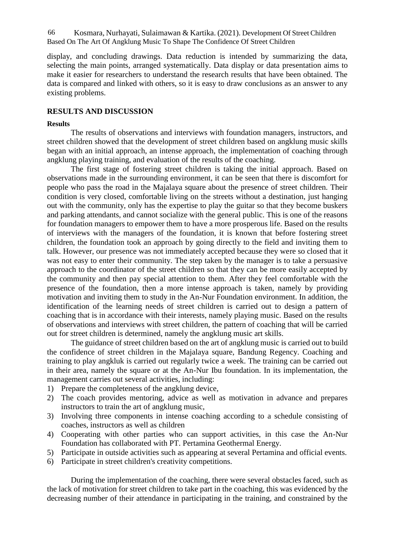Kosmara, Nurhayati, Sulaimawan & Kartika. (2021). Development Of Street Children 66 Based On The Art Of Angklung Music To Shape The Confidence Of Street Children

display, and concluding drawings. Data reduction is intended by summarizing the data, selecting the main points, arranged systematically. Data display or data presentation aims to make it easier for researchers to understand the research results that have been obtained. The data is compared and linked with others, so it is easy to draw conclusions as an answer to any existing problems.

## **RESULTS AND DISCUSSION**

#### **Results**

The results of observations and interviews with foundation managers, instructors, and street children showed that the development of street children based on angklung music skills began with an initial approach, an intense approach, the implementation of coaching through angklung playing training, and evaluation of the results of the coaching.

The first stage of fostering street children is taking the initial approach. Based on observations made in the surrounding environment, it can be seen that there is discomfort for people who pass the road in the Majalaya square about the presence of street children. Their condition is very closed, comfortable living on the streets without a destination, just hanging out with the community, only has the expertise to play the guitar so that they become buskers and parking attendants, and cannot socialize with the general public. This is one of the reasons for foundation managers to empower them to have a more prosperous life. Based on the results of interviews with the managers of the foundation, it is known that before fostering street children, the foundation took an approach by going directly to the field and inviting them to talk. However, our presence was not immediately accepted because they were so closed that it was not easy to enter their community. The step taken by the manager is to take a persuasive approach to the coordinator of the street children so that they can be more easily accepted by the community and then pay special attention to them. After they feel comfortable with the presence of the foundation, then a more intense approach is taken, namely by providing motivation and inviting them to study in the An-Nur Foundation environment. In addition, the identification of the learning needs of street children is carried out to design a pattern of coaching that is in accordance with their interests, namely playing music. Based on the results of observations and interviews with street children, the pattern of coaching that will be carried out for street children is determined, namely the angklung music art skills.

The guidance of street children based on the art of angklung music is carried out to build the confidence of street children in the Majalaya square, Bandung Regency. Coaching and training to play angkluk is carried out regularly twice a week. The training can be carried out in their area, namely the square or at the An-Nur Ibu foundation. In its implementation, the management carries out several activities, including:

- 1) Prepare the completeness of the angklung device,
- 2) The coach provides mentoring, advice as well as motivation in advance and prepares instructors to train the art of angklung music,
- 3) Involving three components in intense coaching according to a schedule consisting of coaches, instructors as well as children
- 4) Cooperating with other parties who can support activities, in this case the An-Nur Foundation has collaborated with PT. Pertamina Geothermal Energy.
- 5) Participate in outside activities such as appearing at several Pertamina and official events.
- 6) Participate in street children's creativity competitions.

During the implementation of the coaching, there were several obstacles faced, such as the lack of motivation for street children to take part in the coaching, this was evidenced by the decreasing number of their attendance in participating in the training, and constrained by the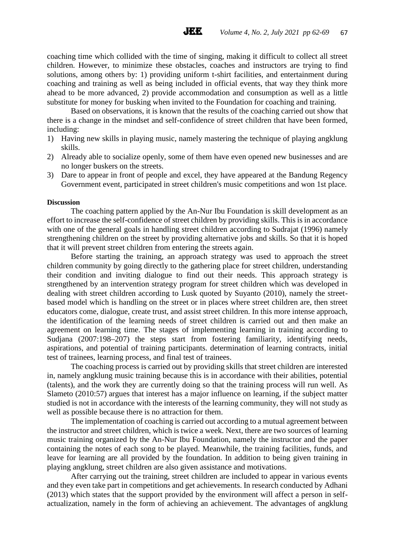coaching time which collided with the time of singing, making it difficult to collect all street children. However, to minimize these obstacles, coaches and instructors are trying to find solutions, among others by: 1) providing uniform t-shirt facilities, and entertainment during coaching and training as well as being included in official events, that way they think more ahead to be more advanced, 2) provide accommodation and consumption as well as a little substitute for money for busking when invited to the Foundation for coaching and training.

**JEE** 

Based on observations, it is known that the results of the coaching carried out show that there is a change in the mindset and self-confidence of street children that have been formed, including:

- 1) Having new skills in playing music, namely mastering the technique of playing angklung skills.
- 2) Already able to socialize openly, some of them have even opened new businesses and are no longer buskers on the streets.
- 3) Dare to appear in front of people and excel, they have appeared at the Bandung Regency Government event, participated in street children's music competitions and won 1st place.

#### **Discussion**

The coaching pattern applied by the An-Nur Ibu Foundation is skill development as an effort to increase the self-confidence of street children by providing skills. This is in accordance with one of the general goals in handling street children according to Sudrajat (1996) namely strengthening children on the street by providing alternative jobs and skills. So that it is hoped that it will prevent street children from entering the streets again.

Before starting the training, an approach strategy was used to approach the street children community by going directly to the gathering place for street children, understanding their condition and inviting dialogue to find out their needs. This approach strategy is strengthened by an intervention strategy program for street children which was developed in dealing with street children according to Lusk quoted by Suyanto (2010), namely the street based model which is handling on the street or in places where street children are, then street educators come, dialogue, create trust, and assist street children. In this more intense approach, the identification of the learning needs of street children is carried out and then make an agreement on learning time. The stages of implementing learning in training according to Sudjana (2007:198–207) the steps start from fostering familiarity, identifying needs, aspirations, and potential of training participants. determination of learning contracts, initial test of trainees, learning process, and final test of trainees.

The coaching process is carried out by providing skills that street children are interested in, namely angklung music training because this is in accordance with their abilities, potential (talents), and the work they are currently doing so that the training process will run well. As Slameto (2010:57) argues that interest has a major influence on learning, if the subject matter studied is not in accordance with the interests of the learning community, they will not study as well as possible because there is no attraction for them.

The implementation of coaching is carried out according to a mutual agreement between the instructor and street children, which is twice a week. Next, there are two sources of learning music training organized by the An-Nur Ibu Foundation, namely the instructor and the paper containing the notes of each song to be played. Meanwhile, the training facilities, funds, and leave for learning are all provided by the foundation. In addition to being given training in playing angklung, street children are also given assistance and motivations.

After carrying out the training, street children are included to appear in various events and they even take part in competitions and get achievements. In research conducted by Adhani (2013) which states that the support provided by the environment will affect a person in self actualization, namely in the form of achieving an achievement. The advantages of angklung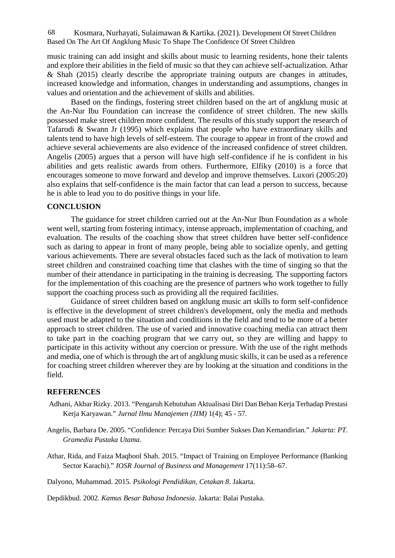Kosmara, Nurhayati, Sulaimawan & Kartika. (2021). Development Of Street Children 68 Based On The Art Of Angklung Music To Shape The Confidence Of Street Children

music training can add insight and skills about music to learning residents, hone their talents and explore their abilities in the field of music so that they can achieve self-actualization. Athar & Shah (2015) clearly describe the appropriate training outputs are changes in attitudes, increased knowledge and information, changes in understanding and assumptions, changes in values and orientation and the achievement of skills and abilities.

Based on the findings, fostering street children based on the art of angklung music at the An-Nur Ibu Foundation can increase the confidence of street children. The new skills possessed make street children more confident. The results of this study support the research of Tafarodi & Swann Jr (1995) which explains that people who have extraordinary skills and talents tend to have high levels of self-esteem. The courage to appear in front of the crowd and achieve several achievements are also evidence of the increased confidence of street children. Angelis (2005) argues that a person will have high self-confidence if he is confident in his abilities and gets realistic awards from others. Furthermore, Elfiky (2010) is a force that encourages someone to move forward and develop and improve themselves. Luxori (2005:20) also explains that self-confidence is the main factor that can lead a person to success, because he is able to lead you to do positive things in your life.

## **CONCLUSION**

The guidance for street children carried out at the An-Nur Ibun Foundation as a whole went well, starting from fostering intimacy, intense approach, implementation of coaching, and evaluation. The results of the coaching show that street children have better self-confidence such as daring to appear in front of many people, being able to socialize openly, and getting various achievements. There are several obstacles faced such as the lack of motivation to learn street children and constrained coaching time that clashes with the time of singing so that the number of their attendance in participating in the training is decreasing. The supporting factors for the implementation of this coaching are the presence of partners who work together to fully support the coaching process such as providing all the required facilities.

Guidance of street children based on angklung music art skills to form self-confidence is effective in the development of street children's development, only the media and methods used must be adapted to the situation and conditions in the field and tend to be more of a better approach to street children. The use of varied and innovative coaching media can attract them to take part in the coaching program that we carry out, so they are willing and happy to participate in this activity without any coercion or pressure. With the use of the right methods and media, one of which is through the art of angklung music skills, it can be used as a reference for coaching street children wherever they are by looking at the situation and conditions in the field.

#### **REFERENCES**

- Adhani, Akbar Rizky. 2013. "Pengaruh Kebutuhan Aktualisasi Diri Dan Beban Kerja Terhadap Prestasi Kerja Karyawan." *Jurnal Ilmu Manajemen (JIM)* 1(4); 45 - 57.
- Angelis, Barbara De. 2005. "Confidence: Percaya Diri Sumber Sukses Dan Kemandirian." *Jakarta: PT. Gramedia Pustaka Utama*.
- Athar, Rida, and Faiza Maqbool Shah. 2015. "Impact of Training on Employee Performance (Banking Sector Karachi)." *IOSR Journal of Business and Management* 17(11):58–67.

Dalyono, Muhammad. 2015. *Psikologi Pendidikan, Cetakan 8*. Jakarta.

Depdikbud. 2002. *Kamus Besar Bahasa Indonesia*. Jakarta: Balai Pustaka.